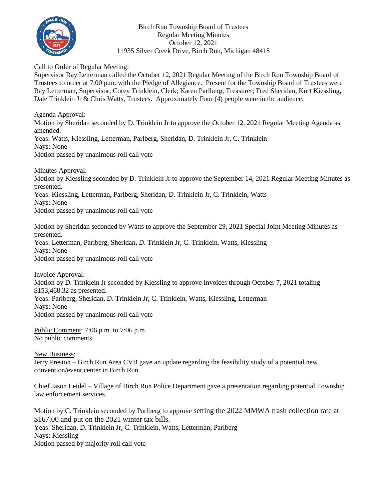

Birch Run Township Board of Trustees Regular Meeting Minutes October 12, 2021 11935 Silver Creek Drive, Birch Run, Michigan 48415

## Call to Order of Regular Meeting:

Supervisor Ray Letterman called the October 12, 2021 Regular Meeting of the Birch Run Township Board of Trustees to order at 7:00 p.m. with the Pledge of Allegiance. Present for the Township Board of Trustees were Ray Letterman, Supervisor; Corey Trinklein, Clerk; Karen Parlberg, Treasurer; Fred Sheridan, Kurt Kiessling, Dale Trinklein Jr & Chris Watts, Trustees. Approximately Four (4) people were in the audience.

Agenda Approval: Motion by Sheridan seconded by D. Trinklein Jr to approve the October 12, 2021 Regular Meeting Agenda as amended. Yeas: Watts, Kiessling, Letterman, Parlberg, Sheridan, D. Trinklein Jr, C. Trinklein Nays: None Motion passed by unanimous roll call vote

Minutes Approval: Motion by Kiessling seconded by D. Trinklein Jr to approve the September 14, 2021 Regular Meeting Minutes as presented. Yeas: Kiessling, Letterman, Parlberg, Sheridan, D. Trinklein Jr, C. Trinklein, Watts Nays: None Motion passed by unanimous roll call vote

Motion by Sheridan seconded by Watts to approve the September 29, 2021 Special Joint Meeting Minutes as presented. Yeas: Letterman, Parlberg, Sheridan, D. Trinklein Jr, C. Trinklein, Watts, Kiessling Nays: None Motion passed by unanimous roll call vote

Invoice Approval: Motion by D. Trinklein Jr seconded by Kiessling to approve Invoices through October 7, 2021 totaling \$153,468.32 as presented. Yeas: Parlberg, Sheridan, D. Trinklein Jr, C. Trinklein, Watts, Kiessling, Letterman Nays: None Motion passed by unanimous roll call vote

Public Comment: 7:06 p.m. to 7:06 p.m. No public comments

New Business:

Jerry Preston – Birch Run Area CVB gave an update regarding the feasibility study of a potential new convention/event center in Birch Run.

Chief Jason Leidel – Village of Birch Run Police Department gave a presentation regarding potential Township law enforcement services.

Motion by C. Trinklein seconded by Parlberg to approve setting the 2022 MMWA trash collection rate at \$167.00 and put on the 2021 winter tax bills. Yeas: Sheridan, D. Trinklein Jr, C. Trinklein, Watts, Letterman, Parlberg Nays: Kiessling Motion passed by majority roll call vote